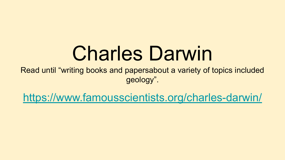# Charles Darwin

Read until "writing books and papersabout a variety of topics included geology".

<https://www.famousscientists.org/charles-darwin/>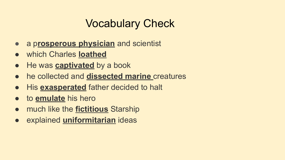### Vocabulary Check

- a p**rosperous physician** and scientist
- which Charles **loathed**
- He was **captivated** by a book
- he collected and **dissected marine** creatures
- **His exasperated** father decided to halt
- to **emulate** his hero
- much like the **fictitious** Starship
- explained **uniformitarian** ideas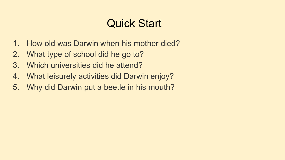### Quick Start

- 1. How old was Darwin when his mother died?
- 2. What type of school did he go to?
- 3. Which universities did he attend?
- 4. What leisurely activities did Darwin enjoy?
- 5. Why did Darwin put a beetle in his mouth?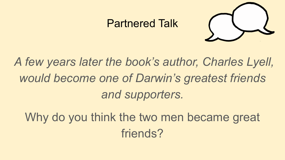#### Partnered Talk



# *A few years later the book's author, Charles Lyell, would become one of Darwin's greatest friends and supporters.*

Why do you think the two men became great friends?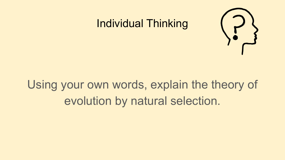

#### Individual Thinking

# Using your own words, explain the theory of evolution by natural selection.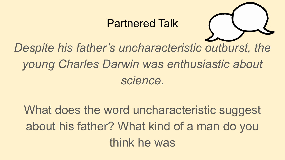#### Partnered Talk



# *Despite his father's uncharacteristic outburst, the young Charles Darwin was enthusiastic about science.*

# What does the word uncharacteristic suggest about his father? What kind of a man do you think he was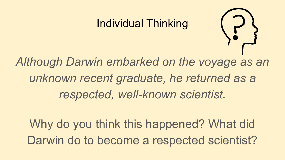#### Individual Thinking



*Although Darwin embarked on the voyage as an unknown recent graduate, he returned as a respected, well-known scientist.* 

Why do you think this happened? What did Darwin do to become a respected scientist?